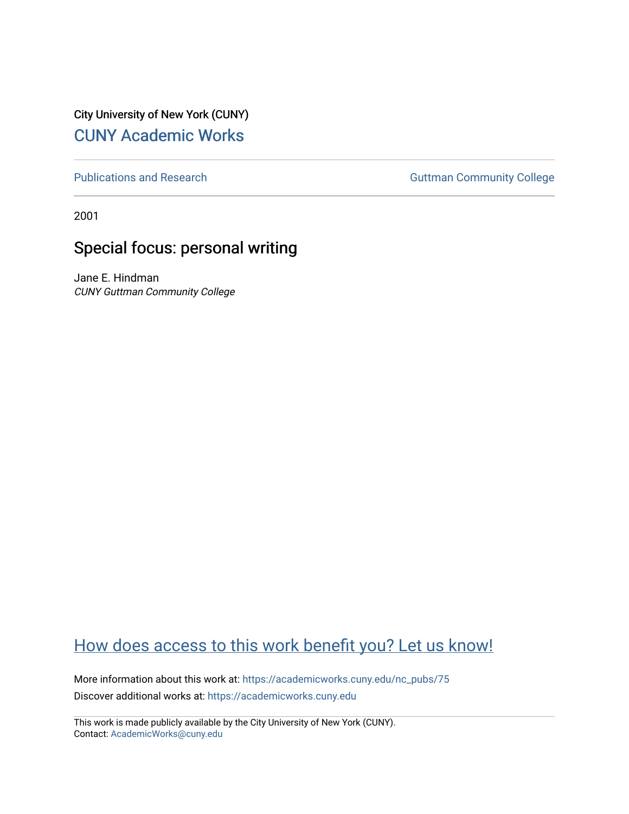City University of New York (CUNY) [CUNY Academic Works](https://academicworks.cuny.edu/) 

[Publications and Research](https://academicworks.cuny.edu/nc_pubs) **Guttman Community College** 

2001

# Special focus: personal writing

Jane E. Hindman CUNY Guttman Community College

### [How does access to this work benefit you? Let us know!](http://ols.cuny.edu/academicworks/?ref=https://academicworks.cuny.edu/nc_pubs/75)

More information about this work at: [https://academicworks.cuny.edu/nc\\_pubs/75](https://academicworks.cuny.edu/nc_pubs/75)  Discover additional works at: [https://academicworks.cuny.edu](https://academicworks.cuny.edu/?)

This work is made publicly available by the City University of New York (CUNY). Contact: [AcademicWorks@cuny.edu](mailto:AcademicWorks@cuny.edu)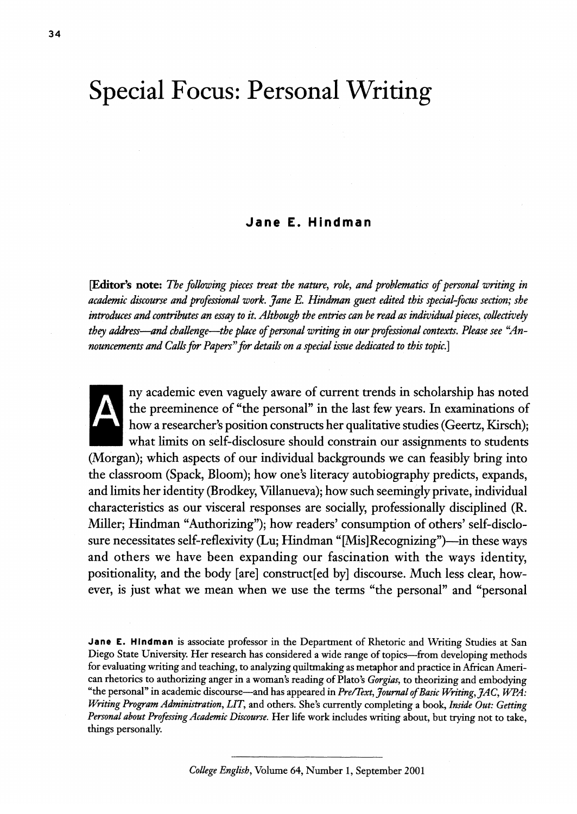## Special Focus: Personal Writing

#### Jane E. Hindman

[Editor's note: The following pieces treat the nature, role, and problematics of personal writing in academic discourse and professional work. Jane E. Hindman guest edited this special-focus section; she introduces and contributes an essay to it. Although the entries can be read as individual pieces, collectively they address—and challenge—the place of personal writing in our professional contexts. Please see "Announcements and Calls for Papers" for details on a special issue dedicated to this topic.]

 ny academic even vaguely aware of current trends in scholarship has noted the preeminence of "the personal" in the last few years. In examinations of how a researcher's position constructs her qualitative studies (Geertz, Kirsch); what limits on self-disclosure should constrain our assignments to students (Morgan); which aspects of our individual backgrounds we can feasibly bring into the classroom (Spack, Bloom); how one's literacy autobiography predicts, expands, and limits her identity (Brodkey, Villanueva); how such seemingly private, individual characteristics as our visceral responses are socially, professionally disciplined (R. Miller; Hindman "Authorizing"); how readers' consumption of others' self-disclo sure necessitates self-reflexivity (Lu; Hindman "[Mis]Recognizing")—in these ways and others we have been expanding our fascination with the ways identity, positionality, and the body [are] construct[ed by] discourse. Much less clear, how ever, is just what we mean when we use the terms "the personal" and "personal

Jane E. Hindman is associate professor in the Department of Rhetoric and Writing Studies at San Diego State University. Her research has considered a wide range of topics-from developing methods for evaluating writing and teaching, to analyzing quiltmaking as metaphor and practice in African Ameri can rhetorics to authorizing anger in a woman's reading of Plato's Gorgias, to theorizing and embodying "the personal" in academic discourse-and has appeared in Pre/Text, Journal of Basic Writing, JAC, WPA: Writing Program Administration, LIT, and others. She's currently completing a book, Inside Out: Getting Personal about Professing Academic Discourse. Her life work includes writing about, but trying not to take, things personally.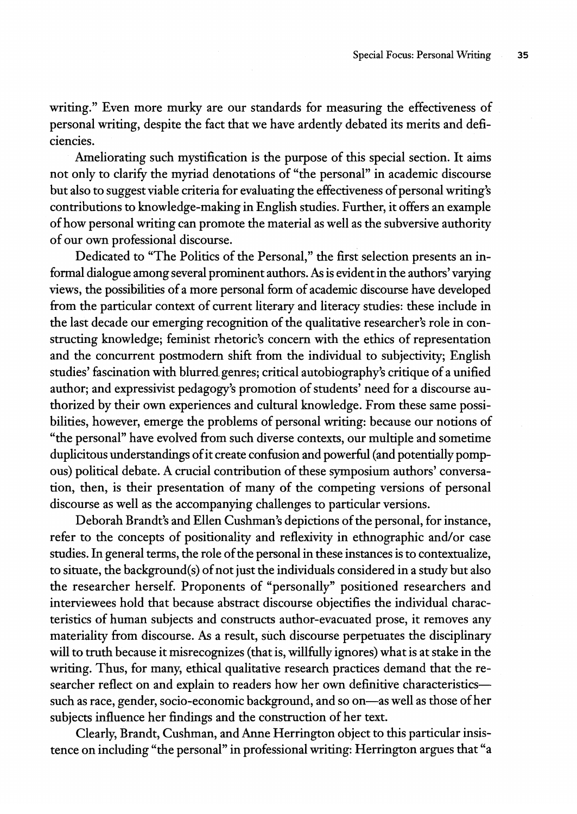writing." Even more murky are our standards for measuring the effectiveness of personal writing, despite the fact that we have ardently debated its merits and defi ciencies.

 Ameliorating such mystification is the purpose of this special section. It aims not only to clarify the myriad denotations of "the personal" in academic discourse but also to suggest viable criteria for evaluating the effectiveness of personal writing's contributions to knowledge-making in English studies. Further, it offers an example of how personal writing can promote the material as well as the subversive authority of our own professional discourse.

 Dedicated to "The Politics of the Personal," the first selection presents an in formal dialogue among several prominent authors. As is evident in the authors' varying views, the possibilities of a more personal form of academic discourse have developed from the particular context of current literary and literacy studies: these include in the last decade our emerging recognition of the qualitative researcher's role in con structing knowledge; feminist rhetoric's concern with the ethics of representation and the concurrent postmodern shift from the individual to subjectivity; English studies' fascination with blurred genres; critical autobiography's critique of a unified author; and expressivist pedagogy's promotion of students' need for a discourse au thorized by their own experiences and cultural knowledge. From these same possi bilities, however, emerge the problems of personal writing: because our notions of "the personal" have evolved from such diverse contexts, our multiple and sometime duplicitous understandings of it create confusion and powerful (and potentially pomp ous) political debate. A crucial contribution of these symposium authors' conversa tion, then, is their presentation of many of the competing versions of personal discourse as well as the accompanying challenges to particular versions.

 Deborah Brandt's and Ellen Cushman's depictions of the personal, for instance, refer to the concepts of positionality and reflexivity in ethnographic and/or case studies. In general terms, the role of the personal in these instances is to contextualize, to situate, the background(s) of not just the individuals considered in a study but also the researcher herself. Proponents of "personally" positioned researchers and interviewees hold that because abstract discourse objectifies the individual charac teristics of human subjects and constructs author-evacuated prose, it removes any materiality from discourse. As a result, such discourse perpetuates the disciplinary will to truth because it misrecognizes (that is, willfully ignores) what is at stake in the writing. Thus, for many, ethical qualitative research practices demand that the re searcher reflect on and explain to readers how her own definitive characteristicssuch as race, gender, socio-economic background, and so on-as well as those of her subjects influence her findings and the construction of her text.

 Clearly, Brandt, Cushman, and Anne Herrington object to this particular insis tence on including "the personal" in professional writing: Herrington argues that "a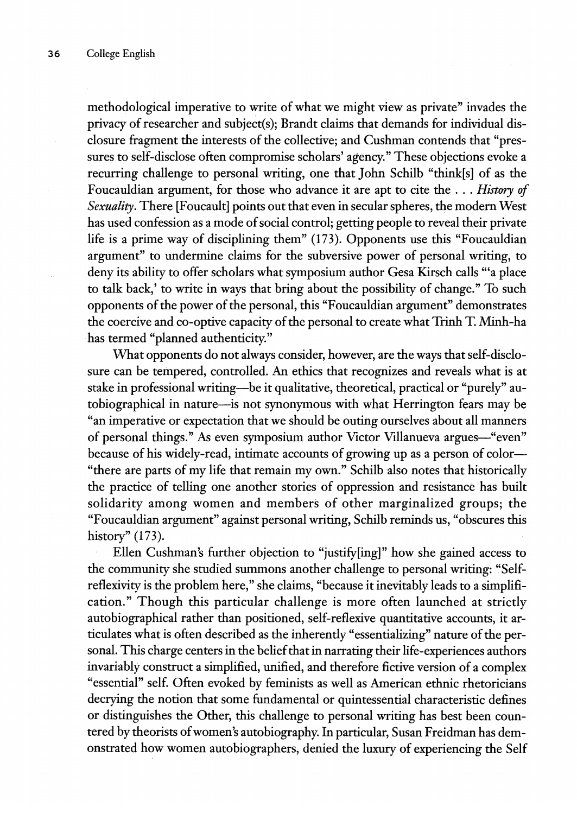methodological imperative to write of what we might view as private" invades the privacy of researcher and subject(s); Brandt claims that demands for individual dis closure fragment the interests of the collective; and Cushman contends that "pres sures to self-disclose often compromise scholars' agency." These objections evoke a recurring challenge to personal writing, one that John Schilb "think[s] of as the Foucauldian argument, for those who advance it are apt to cite the ... History of Sexuality. There [Foucault] points out that even in secular spheres, the modern West has used confession as a mode of social control; getting people to reveal their private life is a prime way of disciplining them" (173). Opponents use this "Foucauldian argument" to undermine claims for the subversive power of personal writing, to deny its ability to offer scholars what symposium author Gesa Kirsch calls "'a place to talk back,' to write in ways that bring about the possibility of change." To such opponents of the power of the personal, this "Foucauldian argument" demonstrates the coercive and co-optive capacity of the personal to create what Trinh T. Minh-ha has termed "planned authenticity."

 What opponents do not always consider, however, are the ways that self-disclo sure can be tempered, controlled. An ethics that recognizes and reveals what is at stake in professional writing-be it qualitative, theoretical, practical or "purely" au tobiographical in nature-is not synonymous with what Herrington fears may be "an imperative or expectation that we should be outing ourselves about all manners of personal things." As even symposium author Victor Villanueva argues-"even" because of his widely-read, intimate accounts of growing up as a person of color- "there are parts of my life that remain my own." Schilb also notes that historically the practice of telling one another stories of oppression and resistance has built solidarity among women and members of other marginalized groups; the "Foucauldian argument" against personal writing, Schilb reminds us, "obscures this history" (173).

 Ellen Cushman's further objection to "justify[ing]" how she gained access to the community she studied summons another challenge to personal writing: "Self reflexivity is the problem here," she claims, "because it inevitably leads to a simplifi cation." Though this particular challenge is more often launched at strictly autobiographical rather than positioned, self-reflexive quantitative accounts, it ar ticulates what is often described as the inherently "essentializing" nature of the per sonal. This charge centers in the belief that in narrating their life-experiences authors invariably construct a simplified, unified, and therefore fictive version of a complex "essential" self. Often evoked by feminists as well as American ethnic rhetoricians decrying the notion that some fundamental or quintessential characteristic defines or distinguishes the Other, this challenge to personal writing has best been coun tered by theorists of women's autobiography. In particular, Susan Freidman has dem onstrated how women autobiographers, denied the luxury of experiencing the Self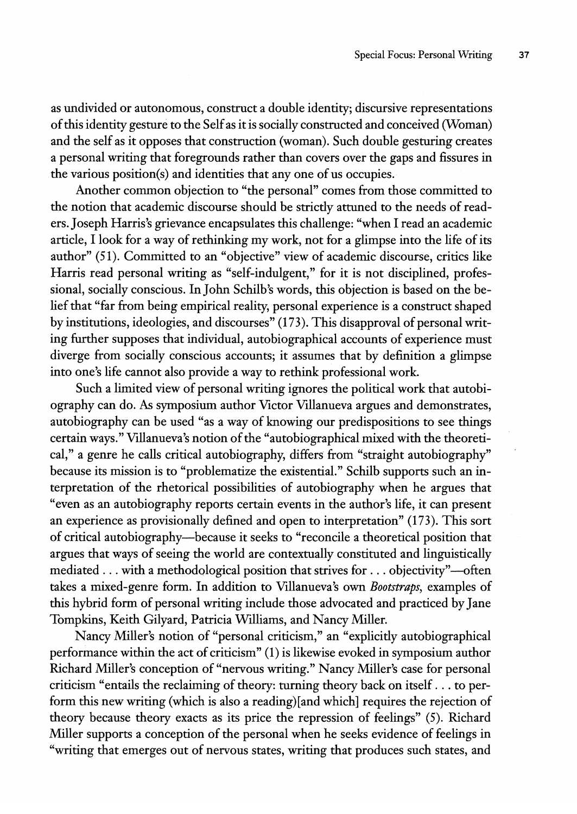as undivided or autonomous, construct a double identity; discursive representations of this identity gesture to the Self as it is socially constructed and conceived (Woman) and the self as it opposes that construction (woman). Such double gesturing creates a personal writing that foregrounds rather than covers over the gaps and fissures in the various position(s) and identities that any one of us occupies.

 Another common objection to "the personal" comes from those committed to the notion that academic discourse should be strictly attuned to the needs of read ers. Joseph Harris's grievance encapsulates this challenge: "when I read an academic article, I look for a way of rethinking my work, not for a glimpse into the life of its author" (51). Committed to an "objective" view of academic discourse, critics like Harris read personal writing as "self-indulgent," for it is not disciplined, profes sional, socially conscious. In John Schilb's words, this objection is based on the be lief that "far from being empirical reality, personal experience is a construct shaped by institutions, ideologies, and discourses" (173). This disapproval of personal writ ing further supposes that individual, autobiographical accounts of experience must diverge from socially conscious accounts; it assumes that by definition a glimpse into one's life cannot also provide a way to rethink professional work.

 Such a limited view of personal writing ignores the political work that autobi ography can do. As symposium author Victor Villanueva argues and demonstrates, autobiography can be used "as a way of knowing our predispositions to see things certain ways." Villanueva's notion of the "autobiographical mixed with the theoreti cal," a genre he calls critical autobiography, differs from "straight autobiography" because its mission is to "problematize the existential." Schilb supports such an in terpretation of the rhetorical possibilities of autobiography when he argues that "even as an autobiography reports certain events in the author's life, it can present an experience as provisionally defined and open to interpretation" (173). This sort of critical autobiography-because it seeks to "reconcile a theoretical position that argues that ways of seeing the world are contextually constituted and linguistically mediated . . . with a methodological position that strives for . . . objectivity"---often takes a mixed-genre form. In addition to Villanueva's own Bootstraps, examples of this hybrid form of personal writing include those advocated and practiced by Jane Tompkins, Keith Gilyard, Patricia Williams, and Nancy Miller.

 Nancy Miller's notion of "personal criticism," an "explicitly autobiographical performance within the act of criticism" (1) is likewise evoked in symposium author Richard Miller's conception of "nervous writing." Nancy Miller's case for personal criticism "entails the reclaiming of theory: turning theory back on itself... to per form this new writing (which is also a reading) [and which] requires the rejection of theory because theory exacts as its price the repression of feelings" (5). Richard Miller supports a conception of the personal when he seeks evidence of feelings in "writing that emerges out of nervous states, writing that produces such states, and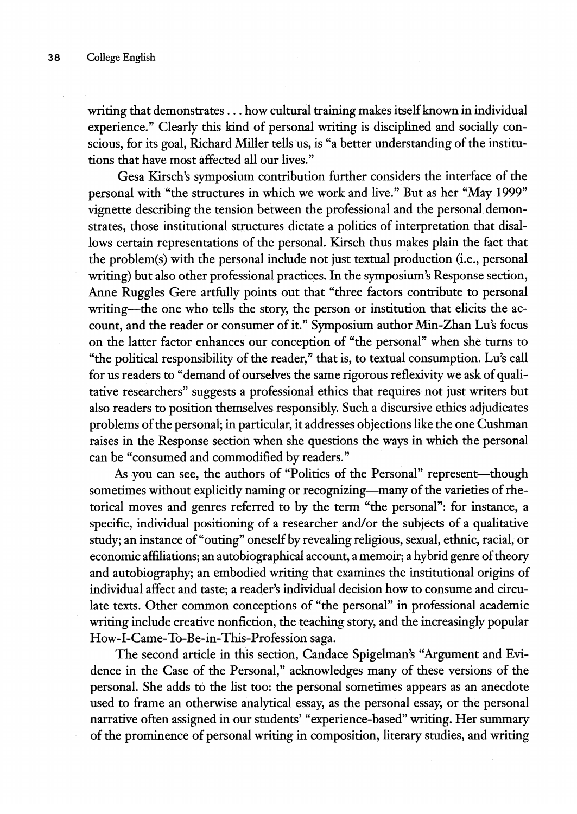writing that demonstrates ... how cultural training makes itself known in individual experience." Clearly this kind of personal writing is disciplined and socially con scious, for its goal, Richard Miller tells us, is "a better understanding of the institu tions that have most affected all our lives."

 Gesa Kirsch's symposium contribution further considers the interface of the personal with "the structures in which we work and live." But as her "May 1999" vignette describing the tension between the professional and the personal demon strates, those institutional structures dictate a politics of interpretation that disal lows certain representations of the personal. Kirsch thus makes plain the fact that the problem(s) with the personal include not just textual production (i.e., personal writing) but also other professional practices. In the symposium's Response section, Anne Ruggles Gere artfully points out that "three factors contribute to personal writing—the one who tells the story, the person or institution that elicits the ac count, and the reader or consumer of it." Symposium author Min-Zhan Lu's focus on the latter factor enhances our conception of "the personal" when she turns to "the political responsibility of the reader," that is, to textual consumption. Lu's call for us readers to "demand of ourselves the same rigorous reflexivity we ask of quali tative researchers" suggests a professional ethics that requires not just writers but also readers to position themselves responsibly. Such a discursive ethics adjudicates problems of the personal; in particular, it addresses objections like the one Cushman raises in the Response section when she questions the ways in which the personal can be "consumed and commodified by readers."

As you can see, the authors of "Politics of the Personal" represent—though sometimes without explicitly naming or recognizing-many of the varieties of rhe torical moves and genres referred to by the term "the personal": for instance, a specific, individual positioning of a researcher and/or the subjects of a qualitative study; an instance of "outing" oneself by revealing religious, sexual, ethnic, racial, or economic affiliations; an autobiographical account, a memoir; a hybrid genre of theory and autobiography; an embodied writing that examines the institutional origins of individual affect and taste; a reader's individual decision how to consume and circu late texts. Other common conceptions of "the personal" in professional academic writing include creative nonfiction, the teaching story, and the increasingly popular How-I-Came-To-Be-in-This-Profession saga.

 The second article in this section, Candace Spigelman's "Argument and Evi dence in the Case of the Personal," acknowledges many of these versions of the personal. She adds to the list too: the personal sometimes appears as an anecdote used to frame an otherwise analytical essay, as the personal essay, or the personal narrative often assigned in our students' "experience-based" writing. Her summary of the prominence of personal writing in composition, literary studies, and writing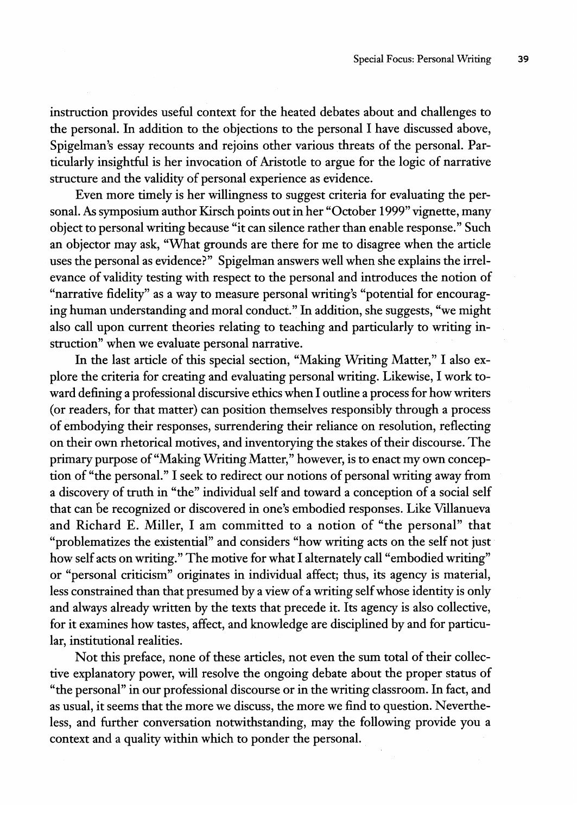instruction provides useful context for the heated debates about and challenges to the personal. In addition to the objections to the personal I have discussed above, Spigelman's essay recounts and rejoins other various threats of the personal. Par ticularly insightful is her invocation of Aristotle to argue for the logic of narrative structure and the validity of personal experience as evidence.

 Even more timely is her willingness to suggest criteria for evaluating the per sonal. As symposium author Kirsch points out in her "October 1999" vignette, many object to personal writing because "it can silence rather than enable response." Such an objector may ask, "What grounds are there for me to disagree when the article uses the personal as evidence?" Spigelman answers well when she explains the irrel evance of validity testing with respect to the personal and introduces the notion of "narrative fidelity" as a way to measure personal writing's "potential for encourag ing human understanding and moral conduct." In addition, she suggests, "we might also call upon current theories relating to teaching and particularly to writing in struction" when we evaluate personal narrative.

 In the last article of this special section, "Making Writing Matter," I also ex plore the criteria for creating and evaluating personal writing. Likewise, I work to ward defining a professional discursive ethics when I outline a process for how writers (or readers, for that matter) can position themselves responsibly through a process of embodying their responses, surrendering their reliance on resolution, reflecting on their own rhetorical motives, and inventorying the stakes of their discourse. The primary purpose of "Making Writing Matter," however, is to enact my own concep tion of "the personal." I seek to redirect our notions of personal writing away from a discovery of truth in "the" individual self and toward a conception of a social self that can be recognized or discovered in one's embodied responses. Like Villanueva and Richard E. Miller, I am committed to a notion of "the personal" that "problematizes the existential" and considers "how writing acts on the self not just how self acts on writing." The motive for what I alternately call "embodied writing" or "personal criticism" originates in individual affect; thus, its agency is material, less constrained than that presumed by a view of a writing self whose identity is only and always already written by the texts that precede it. Its agency is also collective, for it examines how tastes, affect, and knowledge are disciplined by and for particu lar, institutional realities.

 Not this preface, none of these articles, not even the sum total of their collec tive explanatory power, will resolve the ongoing debate about the proper status of "the personal" in our professional discourse or in the writing classroom. In fact, and as usual, it seems that the more we discuss, the more we find to question. Neverthe less, and further conversation notwithstanding, may the following provide you a context and a quality within which to ponder the personal.